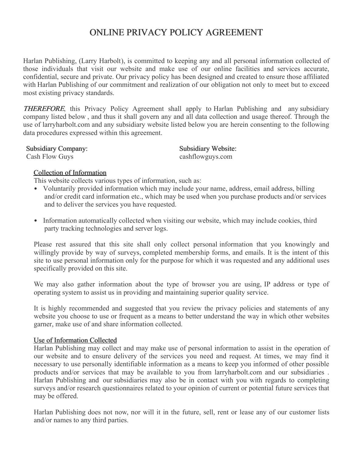# ONLINE PRIVACY POLICY AGREEMENT

Harlan Publishing, (Larry Harbolt), is committed to keeping any and all personal information collected of those individuals that visit our website and make use of our online facilities and services accurate, confidential, secure and private. Our privacy policy has been designed and created to ensure those affiliated with Harlan Publishing of our commitment and realization of our obligation not only to meet but to exceed most existing privacy standards.

THEREFORE, this Privacy Policy Agreement shall apply to Harlan Publishing and any subsidiary company listed below , and thus it shall govern any and all data collection and usage thereof. Through the use of larryharbolt.com and any subsidiary website listed below you are herein consenting to the following data procedures expressed within this agreement.

Subsidiary Company: Subsidiary Website:

Cash Flow Guys cashflowguys.com

### Collection of Information

This website collects various types of information, such as:

- Voluntarily provided information which may include your name, address, email address, billing and/or credit card information etc., which may be used when you purchase products and/or services and to deliver the services you have requested.
- Information automatically collected when visiting our website, which may include cookies, third party tracking technologies and server logs.

Please rest assured that this site shall only collect personal information that you knowingly and willingly provide by way of surveys, completed membership forms, and emails. It is the intent of this site to use personal information only for the purpose for which it was requested and any additional uses specifically provided on this site.

We may also gather information about the type of browser you are using, IP address or type of operating system to assist us in providing and maintaining superior quality service.

It is highly recommended and suggested that you review the privacy policies and statements of any website you choose to use or frequent as a means to better understand the way in which other websites garner, make use of and share information collected.

#### Use of Information Collected

Harlan Publishing may collect and may make use of personal information to assist in the operation of our website and to ensure delivery of the services you need and request. At times, we may find it necessary to use personally identifiable information as a means to keep you informed of other possible products and/or services that may be available to you from larryharbolt.com and our subsidiaries . Harlan Publishing and our subsidiaries may also be in contact with you with regards to completing surveys and/or research questionnaires related to your opinion of current or potential future services that may be offered.

Harlan Publishing does not now, nor will it in the future, sell, rent or lease any of our customer lists and/or names to any third parties.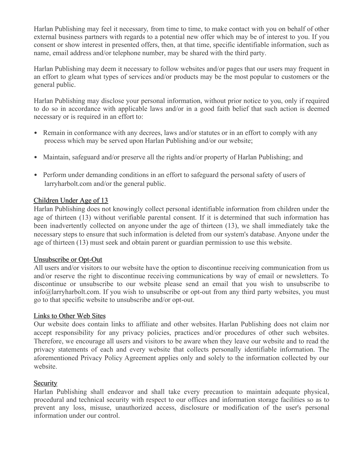Harlan Publishing may feel it necessary, from time to time, to make contact with you on behalf of other external business partners with regards to a potential new offer which may be of interest to you. If you consent or show interest in presented offers, then, at that time, specific identifiable information, such as name, email address and/or telephone number, may be shared with the third party.

Harlan Publishing may deem it necessary to follow websites and/or pages that our users may frequent in an effort to gleam what types of services and/or products may be the most popular to customers or the general public.

Harlan Publishing may disclose your personal information, without prior notice to you, only if required to do so in accordance with applicable laws and/or in a good faith belief that such action is deemed necessary or is required in an effort to:

- Remain in conformance with any decrees, laws and/or statutes or in an effort to comply with any process which may be served upon Harlan Publishing and/or our website;
- Maintain, safeguard and/or preserve all the rights and/or property of Harlan Publishing; and
- Perform under demanding conditions in an effort to safeguard the personal safety of users of larryharbolt.com and/or the general public.

## Children Under Age of 13

Harlan Publishing does not knowingly collect personal identifiable information from children under the age of thirteen (13) without verifiable parental consent. If it is determined that such information has been inadvertently collected on anyone under the age of thirteen (13), we shall immediately take the necessary steps to ensure that such information is deleted from our system's database. Anyone under the age of thirteen (13) must seek and obtain parent or guardian permission to use this website.

## Unsubscribe or Opt-Out

All users and/or visitors to our website have the option to discontinue receiving communication from us and/or reserve the right to discontinue receiving communications by way of email or newsletters. To discontinue or unsubscribe to our website please send an email that you wish to unsubscribe to info@larryharbolt.com. If you wish to unsubscribe or opt-out from any third party websites, you must go to that specific website to unsubscribe and/or opt-out.

## Links to Other Web Sites

Our website does contain links to affiliate and other websites. Harlan Publishing does not claim nor accept responsibility for any privacy policies, practices and/or procedures of other such websites. Therefore, we encourage all users and visitors to be aware when they leave our website and to read the privacy statements of each and every website that collects personally identifiable information. The aforementioned Privacy Policy Agreement applies only and solely to the information collected by our website.

## **Security**

Harlan Publishing shall endeavor and shall take every precaution to maintain adequate physical, procedural and technical security with respect to our offices and information storage facilities so as to prevent any loss, misuse, unauthorized access, disclosure or modification of the user's personal information under our control.